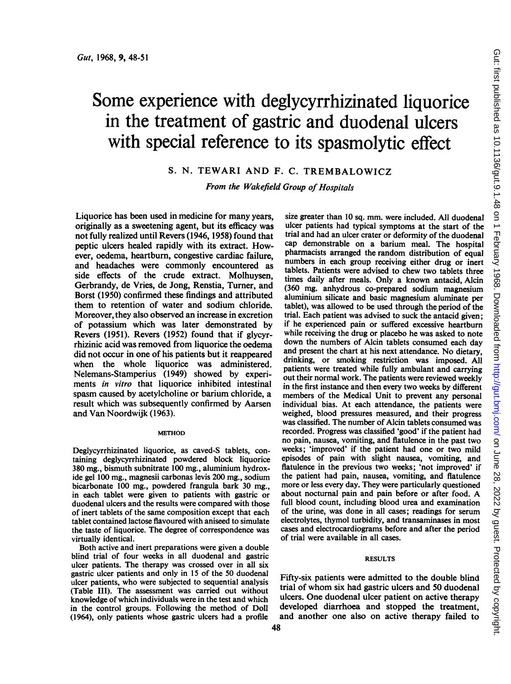# Some experience with deglycyrrhizinated liquorice in the treatment of gastric and duodenal ulcers with special reference to its spasmolytic effect

S. N. TEWARI AND F. C. TREMBALOWICZ

From the Wakefield Group of Hospitals

Liquorice has been used in medicine for many years, originally as a sweetening agent, but its efficacy was not fully realized until Revers (1946, 1958) found that peptic ulcers healed rapidly with its extract. However, oedema, heartburn, congestive cardiac failure, and headaches were commonly encountered as side effects of the crude extract. Molhuysen, Gerbrandy, de Vries, de Jong, Renstia, Turner, and Borst (1950) confirmed these findings and attributed them to retention of water and sodium chloride. Moreover, they also observed an increase in excretion of potassium which was later demonstrated by Revers (1951). Revers (1952) found that if glycyrrhizinic acid was removed from liquorice the oedema did not occur in one of his patients but it reappeared when the whole liquorice was administered. Nelemans-Stamperius (1949) showed by experiments in vitro that liquorice inhibited intestinal spasm caused by acetylcholine or barium chloride, a result which was subsequently confirmed by Aarsen and Van Noordwijk (1963).

### **METHOD**

Deglycyrrhizinated liquorice, as caved-S tablets, containing deglycyrrhizinated powdered block liquorice 380 mg., bismuth subnitrate 100 mg., aluminium hydroxide gel 100 mg., magnesii carbonas levis 200 mg., sodium bicarbonate 100 mg., powdered frangula bark 30 mg., in each tablet were given to patients with gastric or duodenal ulcers and the results were compared with those of inert tablets of the same composition except that each tablet contained lactose flavoured with aniseed to simulate the taste of liquorice. The degree of correspondence was virtually identical.

Both active and inert preparations were given a double blind trial of four weeks in all duodenal and gastric ulcer patients. The therapy was crossed over in all six gastric ulcer patients and only in 15 of the 50 duodenal ulcer patients, who were subjected to sequential analysis (Table III). The assessment was carried out without knowledge of which individuals were in the test and which in the control groups. Following the method of Doll (1964), only patients whose gastric ulcers had a profile

size greater than 10 sq. mm. were included. All duodenal ulcer patients had typical symptoms at the start of the trial and had an ulcer crater or deformity of the duodenal cap demonstrable on a barium meal. The hospital pharmacists arranged the random distribution of equal numbers in each group receiving either drug or inert tablets. Patients were advised to chew two tablets three times daily after meals. Only a known antacid, Alcin (360 mg. anhydrous co-prepared sodium magnesium aluminium silicate and basic magnesium aluminate per tablet), was allowed to be used through the period of the trial. Each patient was advised to suck the antacid given; if he experienced pain or suffered excessive heartburn while receiving the drug or placebo he was asked to note down the numbers of Alcin tablets consumed each day and present the chart at his next attendance. No dietary, drinking, or smoking restriction was imposed. All patients were treated while fully ambulant and carrying out their normal work. The patients were reviewed weekly in the first instance and then every two weeks by different members of the Medical Unit to prevent any personal individual bias. At each attendance, the patients were weighed, blood pressures measured, and their progress was classified. The number of Alcin tablets consumed was recorded. Progress was classified 'good' if the patient had no pain, nausea, vomiting, and flatulence in the past two weeks; 'improved' if the patient had one or two mild episodes of pain with slight nausea, vomiting, and flatulence in the previous two weeks; 'not improved' if the patient had pain, nausea, vomiting, and flatulence more or less every day. They were particularly questioned about nocturnal pain and pain before or after food. A full blood count, including blood urea and examination of the urine, was done in all cases; readings for serum electrolytes, thymol turbidity, and transaminases in most cases and electrocardiograms before and after the period of trial were available in all cases.

## RESULTS

Fifty-six patients were admitted to the double blind trial of whom six had gastric ulcers and 50 duodenal ulcers. One duodenal ulcer patient on active therapy developed diarrhoea and stopped the treatment, and another one also on active therapy failed to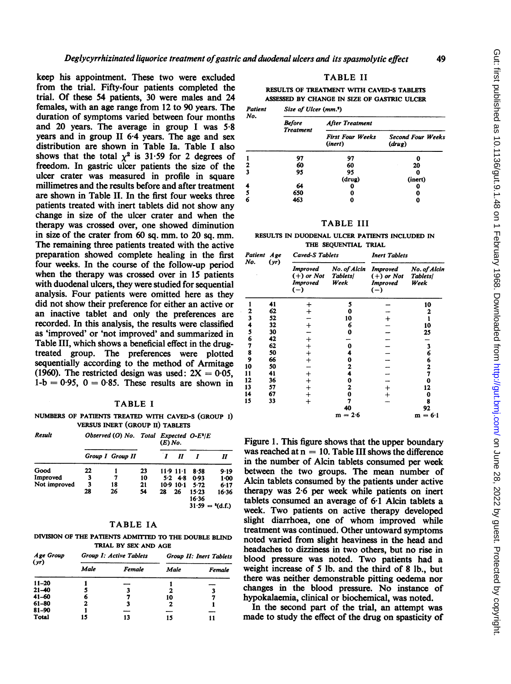keep his appointment. These two were excluded from the trial. Fifty-four patients completed the trial. Of these 54 patients, 30 were males and 24 females, with an age range from 12 to 90 years. The duration of symptoms varied between four months and 20 years. The average in group I was  $5.8$ years and in group II 6.4 years. The age and sex distribution are shown in Table Ia. Table <sup>I</sup> also shows that the total  $\chi^2$  is 31.59 for 2 degrees of freedom. In gastric ulcer patients the size of the ulcer crater was measured in profile in square millimetres and the results before and after treatment are shown in Table II. In the first four weeks three patients treated with inert tablets did not show any change in size of the ulcer crater and when the therapy was crossed over, one showed diminution in size of the crater from 60 sq. mm. to 20 sq. mm. The remaining three patients treated with the active preparation showed complete healing in the first four weeks. In the course of the follow-up period when the therapy was crossed over in 15 patients with duodenal ulcers, they were studied for sequential analysis. Four patients were omitted here as they did not show their preference for either an active or an inactive tablet and only the preferences are recorded. In this analysis, the results were classified as 'improved' or 'not improved' and summarized in Table III, which shows a beneficial effect in the drugtreated group. The preferences were plotted sequentially according to the method of Armitage (1960). The restricted design was used:  $2X = 0.05$ ,  $1-b = 0.95$ ,  $0 = 0.85$ . These results are shown in

## TABLE <sup>I</sup>

NUMBERS OF PATIENTS TREATED WITH CAVED-S (GROUP I) VERSUS INERT (GROUP II) TABLETS

Result Observed (0) No. Total Expected O-E'/E

|              |    |                         |    | (E) No. |                            |           |                  |
|--------------|----|-------------------------|----|---------|----------------------------|-----------|------------------|
|              |    | <b>Group I Group II</b> |    |         | $\boldsymbol{\mathit{II}}$ |           | 11               |
| Good         | 22 |                         | 23 |         | 11.9111                    | $8 - 58$  | 9.19             |
| Improved     | 3  | 7                       | 10 |         | $5.2$ 4.8                  | 0.93      | $1 - 00$         |
| Not improved | 3  | 18                      | 21 |         | 10.910.1                   | 5.72      | 6.17             |
|              | 28 | 26                      | 54 | 28      | 26                         | $15 - 23$ | 16.36            |
|              |    |                         |    |         |                            | 16.36     |                  |
|              |    |                         |    |         |                            |           | $31.59 = (d.f.)$ |

# TABLE IA

DIVISION OF THE PATIENTS ADMITED TO THE DOUBLE BLIND TRIAL BY SEX AND AGE

| Age Group<br>(yr) |      | Group I: Active Tablets | Group II: Inert Tablets |        |  |
|-------------------|------|-------------------------|-------------------------|--------|--|
|                   | Male | Female                  | Male                    | Female |  |
| $11 - 20$         |      |                         |                         |        |  |
| $21 - 40$         |      |                         |                         |        |  |
| 41-60             |      |                         | 10                      |        |  |
| $61 - 80$         |      |                         | 2                       |        |  |
| $81 - 90$         |      |                         |                         |        |  |
| <b>Total</b>      |      |                         | 15                      |        |  |

# TABLE II

RESULTS OF TREATMENT WITH CAVED-S TABLETS ASSESSED BY CHANGE IN SIZE OF GASTRIC ULCER

| Patient<br>No. | Size of Ulcer (mm. <sup>2</sup> ) |                                    |                                    |  |  |  |
|----------------|-----------------------------------|------------------------------------|------------------------------------|--|--|--|
|                | <b>Before</b><br><b>Treatment</b> | After Treatment                    |                                    |  |  |  |
|                |                                   | <b>First Four Weeks</b><br>(inert) | <b>Second Four Weeks</b><br>(drug) |  |  |  |
|                | 97                                | 97                                 |                                    |  |  |  |
|                | 60                                | 60                                 | 20                                 |  |  |  |
|                | 95                                | 95                                 |                                    |  |  |  |
|                |                                   | (drug)                             | (inert)                            |  |  |  |
|                | 64                                |                                    |                                    |  |  |  |
|                | 650                               | o                                  |                                    |  |  |  |
| 6              | 463                               | 0                                  |                                    |  |  |  |
|                |                                   |                                    |                                    |  |  |  |

## TABLE III

RESULTS IN DUODENAL ULCER PATIENTS INCLUDED IN THE SEQUENTIAL TRIAL

| <b>Patient</b><br>No.<br>(yr) | Age | <b>Caved-S Tablets</b>                               |                                  | <b>Inert Tablets</b>                                        |                                  |  |
|-------------------------------|-----|------------------------------------------------------|----------------------------------|-------------------------------------------------------------|----------------------------------|--|
|                               |     | Improved<br>$(+)$ or Not<br><b>Improved</b><br>$(-)$ | No. of Alcin<br>Tablets/<br>Week | <b>Improved</b><br>$(+)$ or Not<br><b>Improved</b><br>$(-)$ | No. of Alcin<br>Tablets/<br>Week |  |
|                               | 41  |                                                      |                                  |                                                             | 10                               |  |
| 2                             | 62  |                                                      |                                  |                                                             | 2                                |  |
| 3                             | 52  |                                                      | 10                               | $\pmb{+}$                                                   |                                  |  |
| 4                             | 32  |                                                      | 6                                |                                                             | 10                               |  |
| 5                             | 30  |                                                      | Λ                                |                                                             | 25                               |  |
| 6                             | 42  |                                                      |                                  |                                                             |                                  |  |
| 7                             | 62  |                                                      |                                  |                                                             | 3                                |  |
| 8                             | 50  |                                                      |                                  |                                                             | 6                                |  |
| 9                             | 66  |                                                      |                                  |                                                             | 6                                |  |
| 10                            | 50  |                                                      |                                  |                                                             | 2                                |  |
| 11                            | 41  |                                                      |                                  |                                                             | 7                                |  |
| 12                            | 36  |                                                      |                                  |                                                             | n                                |  |
| 13                            | 57  |                                                      |                                  |                                                             | 12                               |  |
| 14                            | 67  |                                                      |                                  |                                                             | 0                                |  |
| 15                            | 33  | ┿                                                    |                                  |                                                             | 8                                |  |
|                               |     |                                                      | 40                               |                                                             | 92                               |  |
|                               |     |                                                      | $m = 2.6$                        |                                                             | $m = 6.1$                        |  |

Figure 1. This figure shows that the upper boundary was reached at  $n = 10$ . Table III shows the difference in the number of Alcin tablets consumed per week between the two groups. The mean number of Alcin tablets consumed by the patients under active therapy was 2-6 per week while patients on inert tablets consumed an average of 6.1 Alcin tablets a week. Two patients on active therapy developed slight diarrhoea, one of whom improved while treatment was continued. Other untoward symptoms noted varied from slight heaviness in the head and headaches to dizziness in two others, but no rise in blood pressure was noted. Two patients had a weight increase of 5 lb. and the third of 8 lb., but there was neither demonstrable pitting oedema nor changes in the blood pressure. No instance of hypokalaemia, clinical or biochemical, was noted.

In the second part of the trial, an attempt was made to study the effect of the drug on spasticity of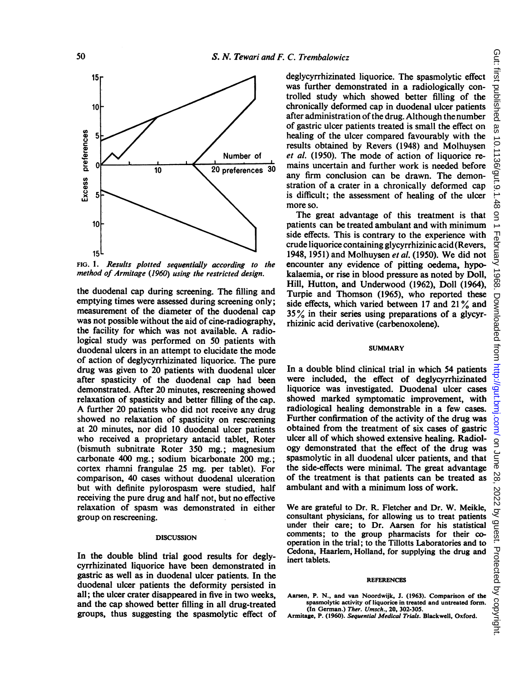

FIG. 1. Results plotted sequentially according to the method of Armitage (1960) using the restricted design.

the duodenal cap during screening. The filling and emptying times were assessed during screening only; measurement of the diameter of the duodenal cap was not possible without the aid of cine-radiography, the facility for which was not available. A radiological study was performed on 50 patients with duodenal ulcers in an attempt to elucidate the mode of action of deglycyrrhizinated liquorice. The pure drug was given to 20 patients with duodenal ulcer after spasticity of the duodenal cap had been demonstrated. After 20 minutes, rescreening showed relaxation of spasticity and better filling of the cap. A further <sup>20</sup> patients who did not receive any drug showed no relaxation of spasticity on rescreening at 20 minutes, nor did 10 duodenal ulcer patients who received a proprietary antacid tablet, Roter (bismuth subnitrate Roter 350 mg.; magnesium carbonate 400 mg.; sodium bicarbonate 200 mg.; cortex rhamni frangulae 25 mg. per tablet). For comparison, 40 cases without duodenal ulceration but with definite pylorospasm were studied, half receiving the pure drug and half not, but no effective relaxation of spasm was demonstrated in either group on rescreening.

## DISCUSSION

In the double blind trial good results for deglycyrrhizinated liquorice have been demonstrated in gastric as well as in duodenal ulcer patients. In the duodenal ulcer patients the deformity persisted in all; the ulcer crater disappeared in five in two weeks, and the cap showed better filling in all drug-treated groups, thus suggesting the spasmolytic effect of deglycyrrhizinated liquorice. The spasmolytic effect was further demonstrated in a radiologically controlled study which showed better filling of the chronically deformed cap in duodenal ulcer patients after administration of the drug. Although the number of gastric ulcer patients treated is small the effect on healing of the ulcer compared favourably with the results obtained by Revers (1948) and Molhuysen et al. (1950). The mode of action of liquorice remains uncertain and further work is needed before any firm conclusion can be drawn. The demonstration of a crater in a chronically deformed cap is difficult; the assessment of healing of the ulcer more so.

The great advantage of this treatment is that patients can be treated ambulant and with minimum side effects. This is contrary to the experience with crude liquorice containing glycyrrhizinic acid (Revers, 1948, 1951) and Molhuysen et al. (1950). We did not encounter any evidence of pitting oedema, hypokalaemia, or rise in blood pressure as noted by Doll, Hill, Hutton, and Underwood (1962), Doll (1964), Turpie and Thomson (1965), who reported these side effects, which varied between 17 and 21 $\%$  and  $35\%$  in their series using preparations of a glycyrrhizinic acid derivative (carbenoxolene).

## **SUMMARY**

In a double blind clinical trial in which. 54 patients were included, the effect of deglycyrrhizinated liquorice was investigated. Duodenal ulcer cases showed marked symptomatic improvement, with radiological healing demonstrable in a few cases. Further confirmation of the activity of the drug was obtained from the treatment of six cases of gastric ulcer all of which showed extensive healing. Radiology demonstrated that the effect of the drug was spasmolytic in all duodenal ulcer patients, and that the side-effects were minimal. The great advantage of the treatment is that patients can be treated as ambulant and with a minimum loss of work.

We are grateful to Dr. R. Fletcher and Dr. W. Meikle, consultant physicians, for allowing us to treat patients under their care; to Dr. Aarsen for his statistical comments; to the group pharmacists for their cooperation in the trial; to the Tillotts Laboratories and to Cedona, Haarlem, Holland, for supplying the drug and inert tablets.

#### REFERENCES

- Aarsen, P. N., and van Noordwijk, J. (1963). Comparison of the spasmolytic activity of liquorice in treated and untreated form. (In German.) Ther. Umsch., 20, 302-305.
- Armitage, P. (1960). Sequential Medical Trials. Blackwell, Oxford.